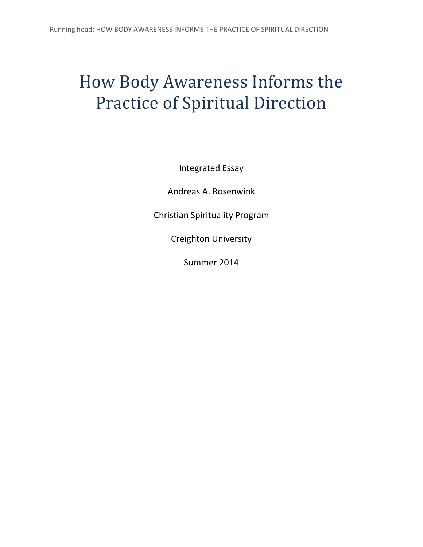# How Body Awareness Informs the Practice of Spiritual Direction

Integrated Essay

Andreas A. Rosenwink

Christian Spirituality Program

Creighton University

Summer 2014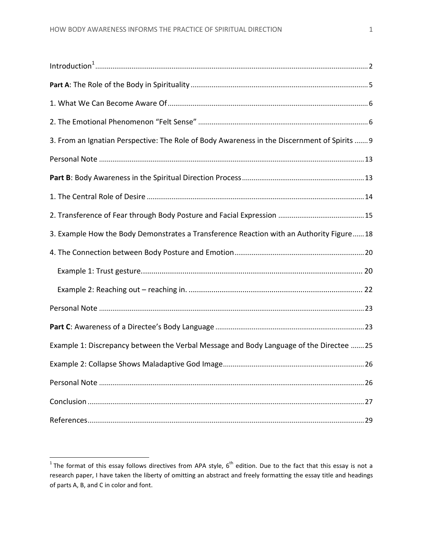| 3. From an Ignatian Perspective: The Role of Body Awareness in the Discernment of Spirits  9 |  |
|----------------------------------------------------------------------------------------------|--|
|                                                                                              |  |
|                                                                                              |  |
|                                                                                              |  |
|                                                                                              |  |
| 3. Example How the Body Demonstrates a Transference Reaction with an Authority Figure 18     |  |
|                                                                                              |  |
|                                                                                              |  |
|                                                                                              |  |
|                                                                                              |  |
|                                                                                              |  |
| Example 1: Discrepancy between the Verbal Message and Body Language of the Directee  25      |  |
|                                                                                              |  |
|                                                                                              |  |
|                                                                                              |  |
|                                                                                              |  |

The format of this essay follows directives from APA style,  $6^{\text{th}}$  edition. Due to the fact that this essay is not a research paper, I have taken the liberty of omitting an abstract and freely formatting the essay title and headings of parts A, B, and C in color and font.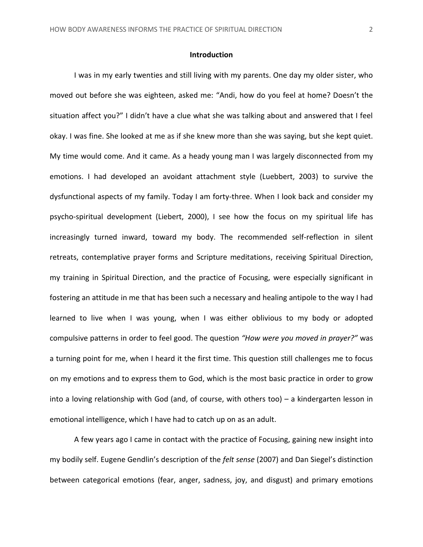#### **Introduction**

<span id="page-2-0"></span>I was in my early twenties and still living with my parents. One day my older sister, who moved out before she was eighteen, asked me: "Andi, how do you feel at home? Doesn't the situation affect you?" I didn't have a clue what she was talking about and answered that I feel okay. I was fine. She looked at me as if she knew more than she was saying, but she kept quiet. My time would come. And it came. As a heady young man I was largely disconnected from my emotions. I had developed an avoidant attachment style (Luebbert, 2003) to survive the dysfunctional aspects of my family. Today I am forty-three. When I look back and consider my psycho-spiritual development (Liebert, 2000), I see how the focus on my spiritual life has increasingly turned inward, toward my body. The recommended self-reflection in silent retreats, contemplative prayer forms and Scripture meditations, receiving Spiritual Direction, my training in Spiritual Direction, and the practice of Focusing, were especially significant in fostering an attitude in me that has been such a necessary and healing antipole to the way I had learned to live when I was young, when I was either oblivious to my body or adopted compulsive patterns in order to feel good. The question *"How were you moved in prayer?"* was a turning point for me, when I heard it the first time. This question still challenges me to focus on my emotions and to express them to God, which is the most basic practice in order to grow into a loving relationship with God (and, of course, with others too) – a kindergarten lesson in emotional intelligence, which I have had to catch up on as an adult.

A few years ago I came in contact with the practice of Focusing, gaining new insight into my bodily self. Eugene Gendlin's description of the *felt sense* (2007) and Dan Siegel's distinction between categorical emotions (fear, anger, sadness, joy, and disgust) and primary emotions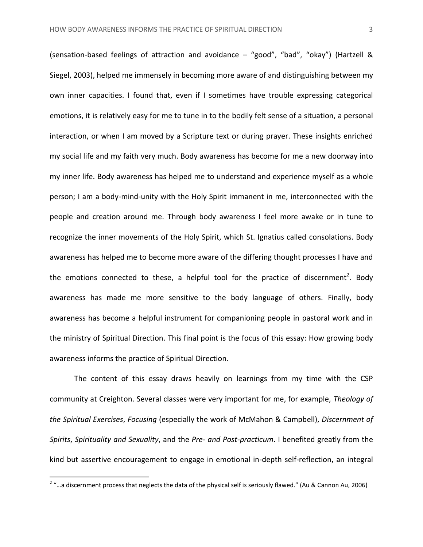(sensation-based feelings of attraction and avoidance – "good", "bad", "okay") (Hartzell & Siegel, 2003), helped me immensely in becoming more aware of and distinguishing between my own inner capacities. I found that, even if I sometimes have trouble expressing categorical emotions, it is relatively easy for me to tune in to the bodily felt sense of a situation, a personal interaction, or when I am moved by a Scripture text or during prayer. These insights enriched my social life and my faith very much. Body awareness has become for me a new doorway into my inner life. Body awareness has helped me to understand and experience myself as a whole person; I am a body-mind-unity with the Holy Spirit immanent in me, interconnected with the people and creation around me. Through body awareness I feel more awake or in tune to recognize the inner movements of the Holy Spirit, which St. Ignatius called consolations. Body awareness has helped me to become more aware of the differing thought processes I have and the emotions connected to these, a helpful tool for the practice of discernment<sup>2</sup>. Body awareness has made me more sensitive to the body language of others. Finally, body awareness has become a helpful instrument for companioning people in pastoral work and in the ministry of Spiritual Direction. This final point is the focus of this essay: How growing body awareness informs the practice of Spiritual Direction.

The content of this essay draws heavily on learnings from my time with the CSP community at Creighton. Several classes were very important for me, for example, *Theology of the Spiritual Exercises*, *Focusing* (especially the work of McMahon & Campbell), *Discernment of Spirits*, *Spirituality and Sexuality*, and the *Pre- and Post-practicum*. I benefited greatly from the kind but assertive encouragement to engage in emotional in-depth self-reflection, an integral

 2 "…a discernment process that neglects the data of the physical self is seriously flawed." (Au & Cannon Au, 2006)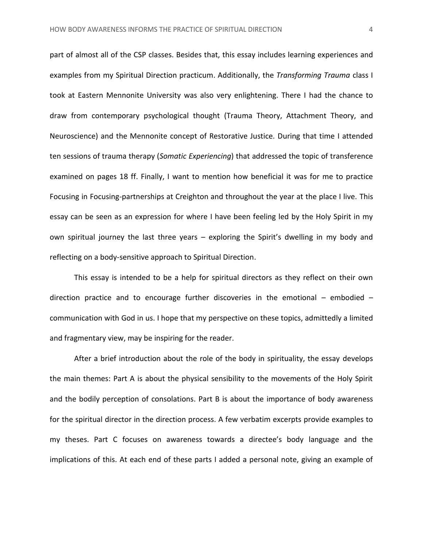part of almost all of the CSP classes. Besides that, this essay includes learning experiences and examples from my Spiritual Direction practicum. Additionally, the *Transforming Trauma* class I took at Eastern Mennonite University was also very enlightening. There I had the chance to draw from contemporary psychological thought (Trauma Theory, Attachment Theory, and Neuroscience) and the Mennonite concept of Restorative Justice. During that time I attended ten sessions of trauma therapy (*Somatic Experiencing*) that addressed the topic of transference examined on pages 18 ff. Finally, I want to mention how beneficial it was for me to practice Focusing in Focusing-partnerships at Creighton and throughout the year at the place I live. This essay can be seen as an expression for where I have been feeling led by the Holy Spirit in my own spiritual journey the last three years – exploring the Spirit's dwelling in my body and reflecting on a body-sensitive approach to Spiritual Direction.

This essay is intended to be a help for spiritual directors as they reflect on their own direction practice and to encourage further discoveries in the emotional – embodied – communication with God in us. I hope that my perspective on these topics, admittedly a limited and fragmentary view, may be inspiring for the reader.

After a brief introduction about the role of the body in spirituality, the essay develops the main themes: Part A is about the physical sensibility to the movements of the Holy Spirit and the bodily perception of consolations. Part B is about the importance of body awareness for the spiritual director in the direction process. A few verbatim excerpts provide examples to my theses. Part C focuses on awareness towards a directee's body language and the implications of this. At each end of these parts I added a personal note, giving an example of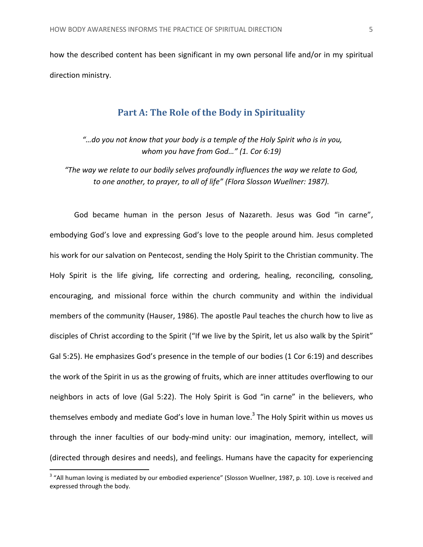<span id="page-5-0"></span>how the described content has been significant in my own personal life and/or in my spiritual direction ministry.

## **Part A: The Role of the Body in Spirituality**

*"…do you not know that your body is a temple of the Holy Spirit who is in you, whom you have from God…" (1. Cor 6:19)*

*"The way we relate to our bodily selves profoundly influences the way we relate to God, to one another, to prayer, to all of life" (Flora Slosson Wuellner: 1987).*

God became human in the person Jesus of Nazareth. Jesus was God "in carne", embodying God's love and expressing God's love to the people around him. Jesus completed his work for our salvation on Pentecost, sending the Holy Spirit to the Christian community. The Holy Spirit is the life giving, life correcting and ordering, healing, reconciling, consoling, encouraging, and missional force within the church community and within the individual members of the community (Hauser, 1986). The apostle Paul teaches the church how to live as disciples of Christ according to the Spirit ("If we live by the Spirit, let us also walk by the Spirit" Gal 5:25). He emphasizes God's presence in the temple of our bodies (1 Cor 6:19) and describes the work of the Spirit in us as the growing of fruits, which are inner attitudes overflowing to our neighbors in acts of love (Gal 5:22). The Holy Spirit is God "in carne" in the believers, who themselves embody and mediate God's love in human love.<sup>3</sup> The Holy Spirit within us moves us through the inner faculties of our body-mind unity: our imagination, memory, intellect, will (directed through desires and needs), and feelings. Humans have the capacity for experiencing

 $3$  "All human loving is mediated by our embodied experience" (Slosson Wuellner, 1987, p. 10). Love is received and expressed through the body.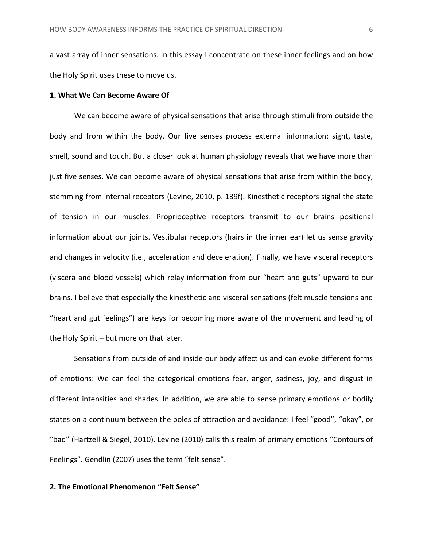a vast array of inner sensations. In this essay I concentrate on these inner feelings and on how the Holy Spirit uses these to move us.

#### <span id="page-6-0"></span>**1. What We Can Become Aware Of**

We can become aware of physical sensations that arise through stimuli from outside the body and from within the body. Our five senses process external information: sight, taste, smell, sound and touch. But a closer look at human physiology reveals that we have more than just five senses. We can become aware of physical sensations that arise from within the body, stemming from internal receptors (Levine, 2010, p. 139f). Kinesthetic receptors signal the state of tension in our muscles. Proprioceptive receptors transmit to our brains positional information about our joints. Vestibular receptors (hairs in the inner ear) let us sense gravity and changes in velocity (i.e., acceleration and deceleration). Finally, we have visceral receptors (viscera and blood vessels) which relay information from our "heart and guts" upward to our brains. I believe that especially the kinesthetic and visceral sensations (felt muscle tensions and "heart and gut feelings") are keys for becoming more aware of the movement and leading of the Holy Spirit – but more on that later.

Sensations from outside of and inside our body affect us and can evoke different forms of emotions: We can feel the categorical emotions fear, anger, sadness, joy, and disgust in different intensities and shades. In addition, we are able to sense primary emotions or bodily states on a continuum between the poles of attraction and avoidance: I feel "good", "okay", or "bad" (Hartzell & Siegel, 2010). Levine (2010) calls this realm of primary emotions "Contours of Feelings". Gendlin (2007) uses the term "felt sense".

#### <span id="page-6-1"></span>**2. The Emotional Phenomenon "Felt Sense"**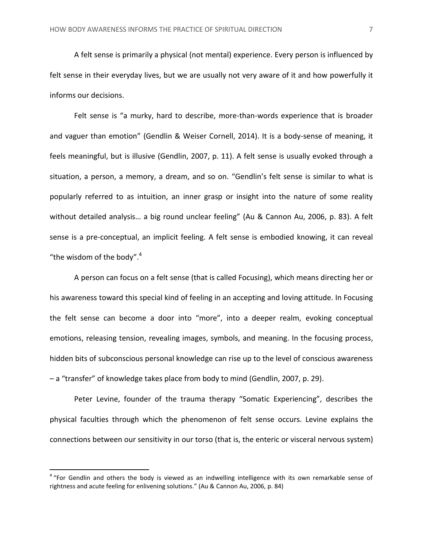A felt sense is primarily a physical (not mental) experience. Every person is influenced by felt sense in their everyday lives, but we are usually not very aware of it and how powerfully it informs our decisions.

Felt sense is "a murky, hard to describe, more-than-words experience that is broader and vaguer than emotion" (Gendlin & Weiser Cornell, 2014). It is a body-sense of meaning, it feels meaningful, but is illusive (Gendlin, 2007, p. 11). A felt sense is usually evoked through a situation, a person, a memory, a dream, and so on. "Gendlin's felt sense is similar to what is popularly referred to as intuition, an inner grasp or insight into the nature of some reality without detailed analysis… a big round unclear feeling" (Au & Cannon Au, 2006, p. 83). A felt sense is a pre-conceptual, an implicit feeling. A felt sense is embodied knowing, it can reveal "the wisdom of the body".<sup>4</sup>

A person can focus on a felt sense (that is called Focusing), which means directing her or his awareness toward this special kind of feeling in an accepting and loving attitude. In Focusing the felt sense can become a door into "more", into a deeper realm, evoking conceptual emotions, releasing tension, revealing images, symbols, and meaning. In the focusing process, hidden bits of subconscious personal knowledge can rise up to the level of conscious awareness – a "transfer" of knowledge takes place from body to mind (Gendlin, 2007, p. 29).

Peter Levine, founder of the trauma therapy "Somatic Experiencing", describes the physical faculties through which the phenomenon of felt sense occurs. Levine explains the connections between our sensitivity in our torso (that is, the enteric or visceral nervous system)

<sup>&</sup>lt;sup>4</sup> "For Gendlin and others the body is viewed as an indwelling intelligence with its own remarkable sense of rightness and acute feeling for enlivening solutions." (Au & Cannon Au, 2006, p. 84)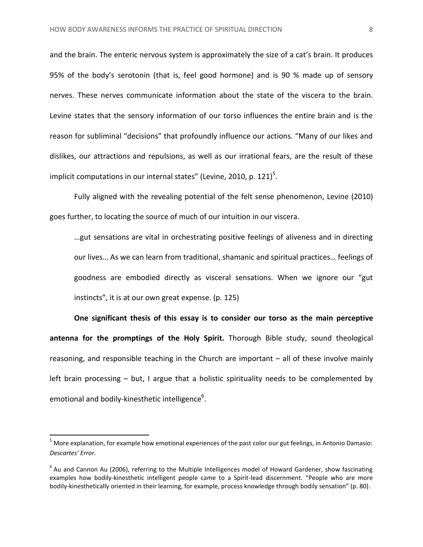and the brain. The enteric nervous system is approximately the size of a cat's brain. It produces 95% of the body's serotonin (that is, feel good hormone) and is 90 % made up of sensory nerves. These nerves communicate information about the state of the viscera to the brain. Levine states that the sensory information of our torso influences the entire brain and is the reason for subliminal "decisions" that profoundly influence our actions. "Many of our likes and dislikes, our attractions and repulsions, as well as our irrational fears, are the result of these implicit computations in our internal states" (Levine, 2010, p. 121)<sup>5</sup>.

Fully aligned with the revealing potential of the felt sense phenomenon, Levine (2010) goes further, to locating the source of much of our intuition in our viscera.

…gut sensations are vital in orchestrating positive feelings of aliveness and in directing our lives… As we can learn from traditional, shamanic and spiritual practices… feelings of goodness are embodied directly as visceral sensations. When we ignore our "gut instincts", it is at our own great expense. (p. 125)

**One significant thesis of this essay is to consider our torso as the main perceptive antenna for the promptings of the Holy Spirit.** Thorough Bible study, sound theological reasoning, and responsible teaching in the Church are important – all of these involve mainly left brain processing – but, I argue that a holistic spirituality needs to be complemented by emotional and bodily-kinesthetic intelligence<sup>6</sup>.

l

 $<sup>5</sup>$  More explanation, for example how emotional experiences of the past color our gut feelings, in Antonio Damasio:</sup> *Descartes' Error.*

 $^6$  Au and Cannon Au (2006), referring to the Multiple Intelligences model of Howard Gardener, show fascinating examples how bodily-kinesthetic intelligent people came to a Spirit-lead discernment. "People who are more bodily-kinesthetically oriented in their learning, for example, process knowledge through bodily sensation" (p. 80).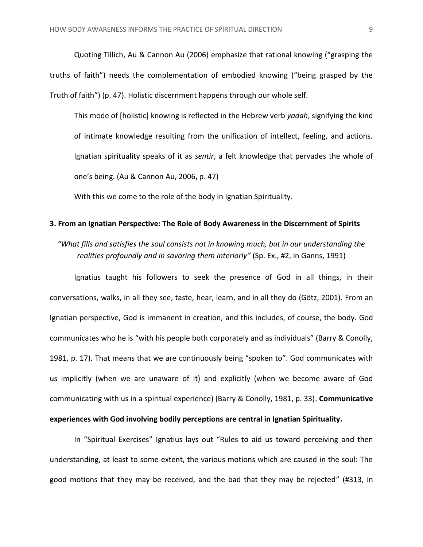Quoting Tillich, Au & Cannon Au (2006) emphasize that rational knowing ("grasping the truths of faith") needs the complementation of embodied knowing ("being grasped by the Truth of faith") (p. 47). Holistic discernment happens through our whole self.

This mode of [holistic] knowing is reflected in the Hebrew verb *yadah*, signifying the kind of intimate knowledge resulting from the unification of intellect, feeling, and actions. Ignatian spirituality speaks of it as *sentir*, a felt knowledge that pervades the whole of one's being. (Au & Cannon Au, 2006, p. 47)

With this we come to the role of the body in Ignatian Spirituality.

#### <span id="page-9-0"></span>**3. From an Ignatian Perspective: The Role of Body Awareness in the Discernment of Spirits**

*"What fills and satisfies the soul consists not in knowing much, but in our understanding the realities profoundly and in savoring them interiorly"* (Sp. Ex., #2, in Ganns, 1991)

Ignatius taught his followers to seek the presence of God in all things, in their conversations, walks, in all they see, taste, hear, learn, and in all they do (Götz, 2001). From an Ignatian perspective, God is immanent in creation, and this includes, of course, the body. God communicates who he is "with his people both corporately and as individuals" (Barry & Conolly, 1981, p. 17). That means that we are continuously being "spoken to". God communicates with us implicitly (when we are unaware of it) and explicitly (when we become aware of God communicating with us in a spiritual experience) (Barry & Conolly, 1981, p. 33). **Communicative experiences with God involving bodily perceptions are central in Ignatian Spirituality.**

In "Spiritual Exercises" Ignatius lays out "Rules to aid us toward perceiving and then understanding, at least to some extent, the various motions which are caused in the soul: The good motions that they may be received, and the bad that they may be rejected" (#313, in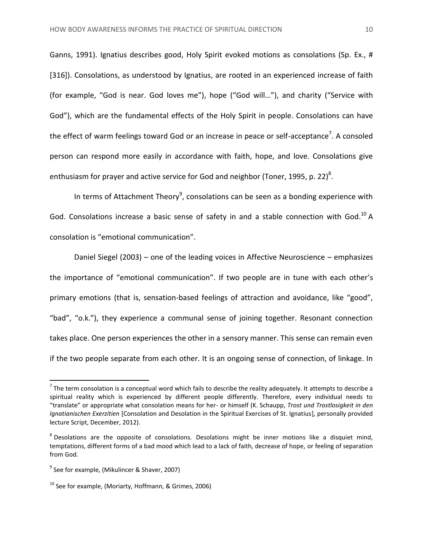Ganns, 1991). Ignatius describes good, Holy Spirit evoked motions as consolations (Sp. Ex., # [316]). Consolations, as understood by Ignatius, are rooted in an experienced increase of faith (for example, "God is near. God loves me"), hope ("God will…"), and charity ("Service with God"), which are the fundamental effects of the Holy Spirit in people. Consolations can have the effect of warm feelings toward God or an increase in peace or self-acceptance<sup>7</sup>. A consoled person can respond more easily in accordance with faith, hope, and love. Consolations give enthusiasm for prayer and active service for God and neighbor (Toner, 1995, p. 22) $^8$ .

In terms of Attachment Theory<sup>9</sup>, consolations can be seen as a bonding experience with God. Consolations increase a basic sense of safety in and a stable connection with God.<sup>10</sup> A consolation is "emotional communication".

Daniel Siegel (2003) – one of the leading voices in Affective Neuroscience – emphasizes the importance of "emotional communication". If two people are in tune with each other's primary emotions (that is, sensation-based feelings of attraction and avoidance, like "good", "bad", "o.k."), they experience a communal sense of joining together. Resonant connection takes place. One person experiences the other in a sensory manner. This sense can remain even if the two people separate from each other. It is an ongoing sense of connection, of linkage. In

 $\overline{a}$ 

 $^7$  The term consolation is a conceptual word which fails to describe the reality adequately. It attempts to describe a spiritual reality which is experienced by different people differently. Therefore, every individual needs to "translate" or appropriate what consolation means for her- or himself (K. Schaupp, *Trost und Trostlosigkeit in den Ignatianischen Exerzitien* [Consolation and Desolation in the Spiritual Exercises of St. Ignatius], personally provided lecture Script, December, 2012).

 $^8$  Desolations are the opposite of consolations. Desolations might be inner motions like a disquiet mind, temptations, different forms of a bad mood which lead to a lack of faith, decrease of hope, or feeling of separation from God.

<sup>&</sup>lt;sup>9</sup> See for example, (Mikulincer & Shaver, 2007)

 $10$  See for example, (Moriarty, Hoffmann, & Grimes, 2006)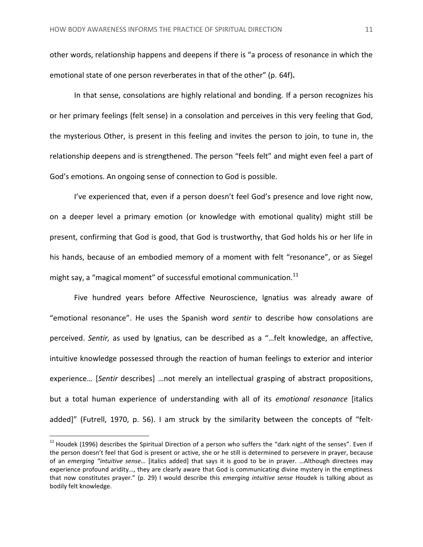other words, relationship happens and deepens if there is "a process of resonance in which the emotional state of one person reverberates in that of the other" (p. 64f)**.**

In that sense, consolations are highly relational and bonding. If a person recognizes his or her primary feelings (felt sense) in a consolation and perceives in this very feeling that God, the mysterious Other, is present in this feeling and invites the person to join, to tune in, the relationship deepens and is strengthened. The person "feels felt" and might even feel a part of God's emotions. An ongoing sense of connection to God is possible.

I've experienced that, even if a person doesn't feel God's presence and love right now, on a deeper level a primary emotion (or knowledge with emotional quality) might still be present, confirming that God is good, that God is trustworthy, that God holds his or her life in his hands, because of an embodied memory of a moment with felt "resonance", or as Siegel might say, a "magical moment" of successful emotional communication. $^{11}$ 

Five hundred years before Affective Neuroscience, Ignatius was already aware of "emotional resonance". He uses the Spanish word *sentir* to describe how consolations are perceived. *Sentir,* as used by Ignatius, can be described as a "…felt knowledge, an affective, intuitive knowledge possessed through the reaction of human feelings to exterior and interior experience… [*Sentir* describes] …not merely an intellectual grasping of abstract propositions, but a total human experience of understanding with all of its *emotional resonance* [italics added]" (Futrell, 1970, p. 56). I am struck by the similarity between the concepts of "felt-

 $\overline{a}$ 

 $11$  Houdek (1996) describes the Spiritual Direction of a person who suffers the "dark night of the senses". Even if the person doesn't feel that God is present or active, she or he still is determined to persevere in prayer, because of an *emerging "intuitive sense…* [italics added] that says it is good to be in prayer. …Although directees may experience profound aridity…, they are clearly aware that God is communicating divine mystery in the emptiness that now constitutes prayer." (p. 29) I would describe this *emerging intuitive sense* Houdek is talking about as bodily felt knowledge.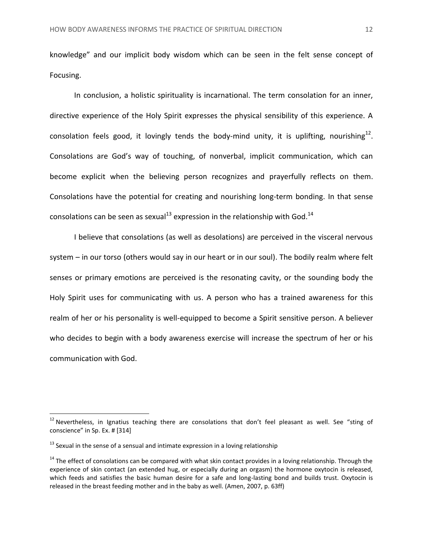knowledge" and our implicit body wisdom which can be seen in the felt sense concept of Focusing.

In conclusion, a holistic spirituality is incarnational. The term consolation for an inner, directive experience of the Holy Spirit expresses the physical sensibility of this experience. A consolation feels good, it lovingly tends the body-mind unity, it is uplifting, nourishing $^{12}$ . Consolations are God's way of touching, of nonverbal, implicit communication, which can become explicit when the believing person recognizes and prayerfully reflects on them. Consolations have the potential for creating and nourishing long-term bonding. In that sense consolations can be seen as sexual<sup>13</sup> expression in the relationship with God.<sup>14</sup>

I believe that consolations (as well as desolations) are perceived in the visceral nervous system – in our torso (others would say in our heart or in our soul). The bodily realm where felt senses or primary emotions are perceived is the resonating cavity, or the sounding body the Holy Spirit uses for communicating with us. A person who has a trained awareness for this realm of her or his personality is well-equipped to become a Spirit sensitive person. A believer who decides to begin with a body awareness exercise will increase the spectrum of her or his communication with God.

l

 $12$  Nevertheless, in Ignatius teaching there are consolations that don't feel pleasant as well. See "sting of conscience" in Sp. Ex. # [314]

 $13$  Sexual in the sense of a sensual and intimate expression in a loving relationship

 $14$  The effect of consolations can be compared with what skin contact provides in a loving relationship. Through the experience of skin contact (an extended hug, or especially during an orgasm) the hormone oxytocin is released, which feeds and satisfies the basic human desire for a safe and long-lasting bond and builds trust. Oxytocin is released in the breast feeding mother and in the baby as well. (Amen, 2007, p. 63ff)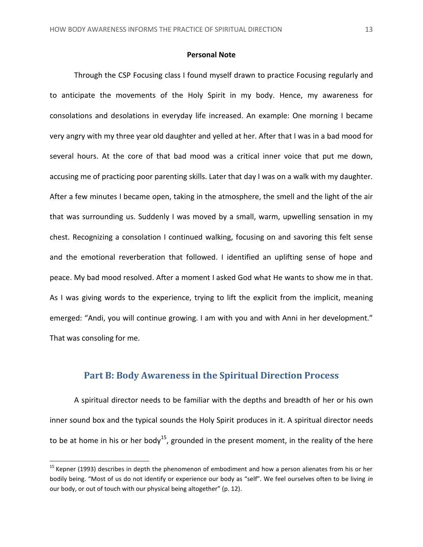#### **Personal Note**

<span id="page-13-0"></span>Through the CSP Focusing class I found myself drawn to practice Focusing regularly and to anticipate the movements of the Holy Spirit in my body. Hence, my awareness for consolations and desolations in everyday life increased. An example: One morning I became very angry with my three year old daughter and yelled at her. After that I was in a bad mood for several hours. At the core of that bad mood was a critical inner voice that put me down, accusing me of practicing poor parenting skills. Later that day I was on a walk with my daughter. After a few minutes I became open, taking in the atmosphere, the smell and the light of the air that was surrounding us. Suddenly I was moved by a small, warm, upwelling sensation in my chest. Recognizing a consolation I continued walking, focusing on and savoring this felt sense and the emotional reverberation that followed. I identified an uplifting sense of hope and peace. My bad mood resolved. After a moment I asked God what He wants to show me in that. As I was giving words to the experience, trying to lift the explicit from the implicit, meaning emerged: "Andi, you will continue growing. I am with you and with Anni in her development." That was consoling for me.

## **Part B: Body Awareness in the Spiritual Direction Process**

<span id="page-13-1"></span>A spiritual director needs to be familiar with the depths and breadth of her or his own inner sound box and the typical sounds the Holy Spirit produces in it. A spiritual director needs to be at home in his or her body<sup>15</sup>, grounded in the present moment, in the reality of the here

 $15$  Kepner (1993) describes in depth the phenomenon of embodiment and how a person alienates from his or her bodily being. "Most of us do not identify or experience our body as "self". We feel ourselves often to be living *in* our body, or out of touch with our physical being altogether" (p. 12).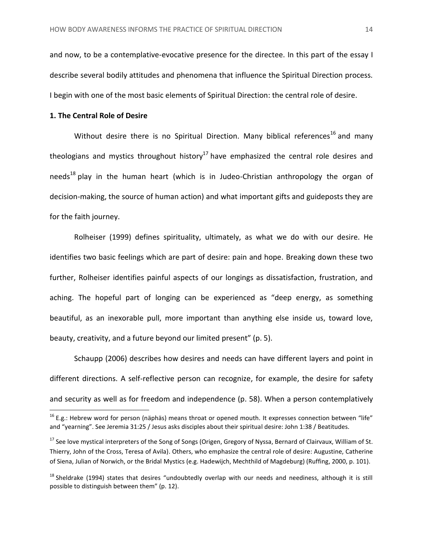and now, to be a contemplative-evocative presence for the directee. In this part of the essay I describe several bodily attitudes and phenomena that influence the Spiritual Direction process. I begin with one of the most basic elements of Spiritual Direction: the central role of desire.

#### <span id="page-14-0"></span>**1. The Central Role of Desire**

 $\overline{\phantom{a}}$ 

Without desire there is no Spiritual Direction. Many biblical references<sup>16</sup> and many theologians and mystics throughout history<sup>17</sup> have emphasized the central role desires and needs<sup>18</sup> play in the human heart (which is in Judeo-Christian anthropology the organ of decision-making, the source of human action) and what important gifts and guideposts they are for the faith journey.

Rolheiser (1999) defines spirituality, ultimately, as what we do with our desire. He identifies two basic feelings which are part of desire: pain and hope. Breaking down these two further, Rolheiser identifies painful aspects of our longings as dissatisfaction, frustration, and aching. The hopeful part of longing can be experienced as "deep energy, as something beautiful, as an inexorable pull, more important than anything else inside us, toward love, beauty, creativity, and a future beyond our limited present" (p. 5).

Schaupp (2006) describes how desires and needs can have different layers and point in different directions. A self-reflective person can recognize, for example, the desire for safety and security as well as for freedom and independence (p. 58). When a person contemplatively

 $^{16}$  E.g.: Hebrew word for person (näphäs) means throat or opened mouth. It expresses connection between "life" and "yearning". See Jeremia 31:25 / Jesus asks disciples about their spiritual desire: John 1:38 / Beatitudes.

<sup>&</sup>lt;sup>17</sup> See love mystical interpreters of the Song of Songs (Origen, Gregory of Nyssa, Bernard of Clairvaux, William of St. Thierry, John of the Cross, Teresa of Avila). Others, who emphasize the central role of desire: Augustine, Catherine of Siena, Julian of Norwich, or the Bridal Mystics (e.g. Hadewijch, Mechthild of Magdeburg) (Ruffing, 2000, p. 101).

 $18$  Sheldrake (1994) states that desires "undoubtedly overlap with our needs and neediness, although it is still possible to distinguish between them" (p. 12).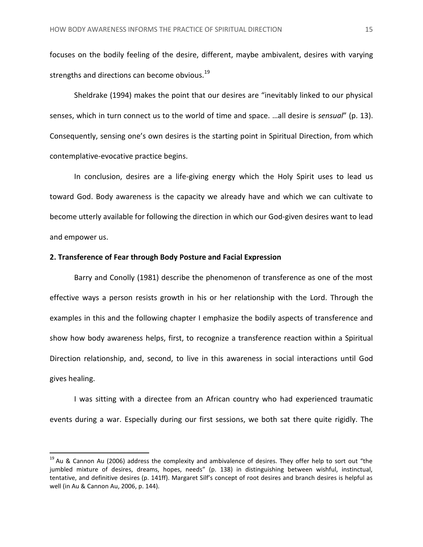focuses on the bodily feeling of the desire, different, maybe ambivalent, desires with varying strengths and directions can become obvious.<sup>19</sup>

Sheldrake (1994) makes the point that our desires are "inevitably linked to our physical senses, which in turn connect us to the world of time and space. …all desire is *sensual*" (p. 13). Consequently, sensing one's own desires is the starting point in Spiritual Direction, from which contemplative-evocative practice begins.

In conclusion, desires are a life-giving energy which the Holy Spirit uses to lead us toward God. Body awareness is the capacity we already have and which we can cultivate to become utterly available for following the direction in which our God-given desires want to lead and empower us.

#### <span id="page-15-0"></span>**2. Transference of Fear through Body Posture and Facial Expression**

 $\overline{\phantom{a}}$ 

Barry and Conolly (1981) describe the phenomenon of transference as one of the most effective ways a person resists growth in his or her relationship with the Lord. Through the examples in this and the following chapter I emphasize the bodily aspects of transference and show how body awareness helps, first, to recognize a transference reaction within a Spiritual Direction relationship, and, second, to live in this awareness in social interactions until God gives healing.

I was sitting with a directee from an African country who had experienced traumatic events during a war. Especially during our first sessions, we both sat there quite rigidly. The

 $19$  Au & Cannon Au (2006) address the complexity and ambivalence of desires. They offer help to sort out "the jumbled mixture of desires, dreams, hopes, needs" (p. 138) in distinguishing between wishful, instinctual, tentative, and definitive desires (p. 141ff). Margaret Silf's concept of root desires and branch desires is helpful as well (in Au & Cannon Au, 2006, p. 144).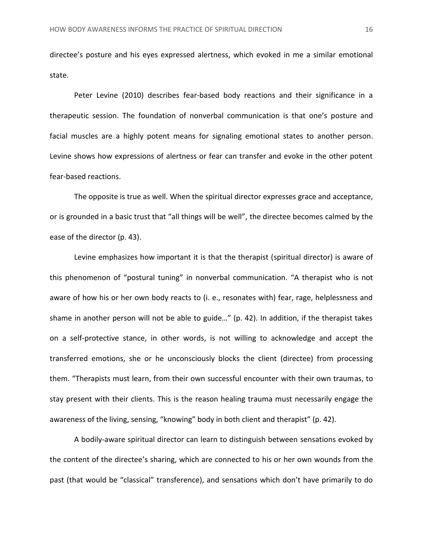directee's posture and his eyes expressed alertness, which evoked in me a similar emotional state.

Peter Levine (2010) describes fear-based body reactions and their significance in a therapeutic session. The foundation of nonverbal communication is that one's posture and facial muscles are a highly potent means for signaling emotional states to another person. Levine shows how expressions of alertness or fear can transfer and evoke in the other potent fear-based reactions.

The opposite is true as well. When the spiritual director expresses grace and acceptance, or is grounded in a basic trust that "all things will be well", the directee becomes calmed by the ease of the director (p. 43).

Levine emphasizes how important it is that the therapist (spiritual director) is aware of this phenomenon of "postural tuning" in nonverbal communication. "A therapist who is not aware of how his or her own body reacts to (i. e., resonates with) fear, rage, helplessness and shame in another person will not be able to guide…" (p. 42). In addition, if the therapist takes on a self-protective stance, in other words, is not willing to acknowledge and accept the transferred emotions, she or he unconsciously blocks the client (directee) from processing them. "Therapists must learn, from their own successful encounter with their own traumas, to stay present with their clients. This is the reason healing trauma must necessarily engage the awareness of the living, sensing, "knowing" body in both client and therapist" (p. 42).

A bodily-aware spiritual director can learn to distinguish between sensations evoked by the content of the directee's sharing, which are connected to his or her own wounds from the past (that would be "classical" transference), and sensations which don't have primarily to do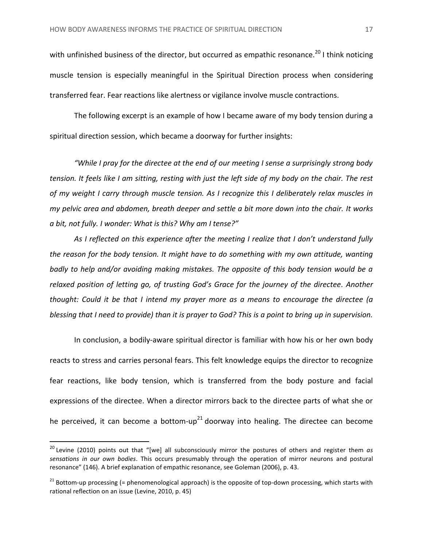with unfinished business of the director, but occurred as empathic resonance.<sup>20</sup> I think noticing muscle tension is especially meaningful in the Spiritual Direction process when considering transferred fear. Fear reactions like alertness or vigilance involve muscle contractions.

The following excerpt is an example of how I became aware of my body tension during a spiritual direction session, which became a doorway for further insights:

*"While I pray for the directee at the end of our meeting I sense a surprisingly strong body tension. It feels like I am sitting, resting with just the left side of my body on the chair. The rest of my weight I carry through muscle tension. As I recognize this I deliberately relax muscles in my pelvic area and abdomen, breath deeper and settle a bit more down into the chair. It works a bit, not fully. I wonder: What is this? Why am I tense?"*

*As I reflected on this experience after the meeting I realize that I don't understand fully the reason for the body tension. It might have to do something with my own attitude, wanting badly to help and/or avoiding making mistakes. The opposite of this body tension would be a relaxed position of letting go, of trusting God's Grace for the journey of the directee. Another thought: Could it be that I intend my prayer more as a means to encourage the directee (a blessing that I need to provide) than it is prayer to God? This is a point to bring up in supervision.*

In conclusion, a bodily-aware spiritual director is familiar with how his or her own body reacts to stress and carries personal fears. This felt knowledge equips the director to recognize fear reactions, like body tension, which is transferred from the body posture and facial expressions of the directee. When a director mirrors back to the directee parts of what she or he perceived, it can become a bottom-up<sup>21</sup> doorway into healing. The directee can become

<sup>20</sup> Levine (2010) points out that "[we] all subconsciously mirror the postures of others and register them *as sensations in our own bodies*. This occurs presumably through the operation of mirror neurons and postural resonance" (146). A brief explanation of empathic resonance, see Goleman (2006), p. 43.

 $21$  Bottom-up processing (= phenomenological approach) is the opposite of top-down processing, which starts with rational reflection on an issue (Levine, 2010, p. 45)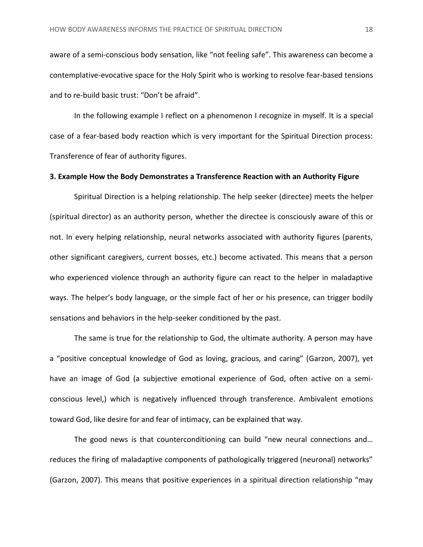aware of a semi-conscious body sensation, like "not feeling safe". This awareness can become a contemplative-evocative space for the Holy Spirit who is working to resolve fear-based tensions and to re-build basic trust: "Don't be afraid".

In the following example I reflect on a phenomenon I recognize in myself. It is a special case of a fear-based body reaction which is very important for the Spiritual Direction process: Transference of fear of authority figures.

## <span id="page-18-0"></span>**3. Example How the Body Demonstrates a Transference Reaction with an Authority Figure**

Spiritual Direction is a helping relationship. The help seeker (directee) meets the helper (spiritual director) as an authority person, whether the directee is consciously aware of this or not. In every helping relationship, neural networks associated with authority figures (parents, other significant caregivers, current bosses, etc.) become activated. This means that a person who experienced violence through an authority figure can react to the helper in maladaptive ways. The helper's body language, or the simple fact of her or his presence, can trigger bodily sensations and behaviors in the help-seeker conditioned by the past.

The same is true for the relationship to God, the ultimate authority. A person may have a "positive conceptual knowledge of God as loving, gracious, and caring" (Garzon, 2007), yet have an image of God (a subjective emotional experience of God, often active on a semiconscious level,) which is negatively influenced through transference. Ambivalent emotions toward God, like desire for and fear of intimacy, can be explained that way.

The good news is that counterconditioning can build "new neural connections and… reduces the firing of maladaptive components of pathologically triggered (neuronal) networks" (Garzon, 2007). This means that positive experiences in a spiritual direction relationship "may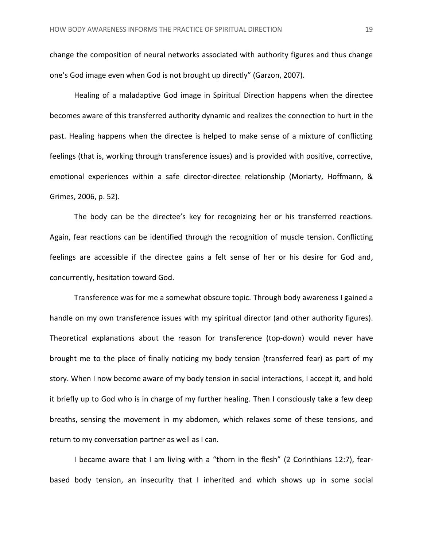change the composition of neural networks associated with authority figures and thus change one's God image even when God is not brought up directly" (Garzon, 2007).

Healing of a maladaptive God image in Spiritual Direction happens when the directee becomes aware of this transferred authority dynamic and realizes the connection to hurt in the past. Healing happens when the directee is helped to make sense of a mixture of conflicting feelings (that is, working through transference issues) and is provided with positive, corrective, emotional experiences within a safe director-directee relationship (Moriarty, Hoffmann, & Grimes, 2006, p. 52).

The body can be the directee's key for recognizing her or his transferred reactions. Again, fear reactions can be identified through the recognition of muscle tension. Conflicting feelings are accessible if the directee gains a felt sense of her or his desire for God and, concurrently, hesitation toward God.

Transference was for me a somewhat obscure topic. Through body awareness I gained a handle on my own transference issues with my spiritual director (and other authority figures). Theoretical explanations about the reason for transference (top-down) would never have brought me to the place of finally noticing my body tension (transferred fear) as part of my story. When I now become aware of my body tension in social interactions, I accept it, and hold it briefly up to God who is in charge of my further healing. Then I consciously take a few deep breaths, sensing the movement in my abdomen, which relaxes some of these tensions, and return to my conversation partner as well as I can.

I became aware that I am living with a "thorn in the flesh" (2 Corinthians 12:7), fearbased body tension, an insecurity that I inherited and which shows up in some social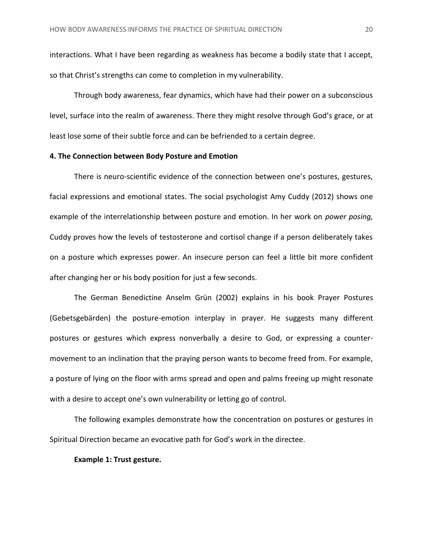interactions. What I have been regarding as weakness has become a bodily state that I accept, so that Christ's strengths can come to completion in my vulnerability.

Through body awareness, fear dynamics, which have had their power on a subconscious level, surface into the realm of awareness. There they might resolve through God's grace, or at least lose some of their subtle force and can be befriended to a certain degree.

#### <span id="page-20-0"></span>**4. The Connection between Body Posture and Emotion**

There is neuro-scientific evidence of the connection between one's postures, gestures, facial expressions and emotional states. The social psychologist Amy Cuddy (2012) shows one example of the interrelationship between posture and emotion. In her work on *power posing,* Cuddy proves how the levels of testosterone and cortisol change if a person deliberately takes on a posture which expresses power. An insecure person can feel a little bit more confident after changing her or his body position for just a few seconds.

The German Benedictine Anselm Grün (2002) explains in his book Prayer Postures (Gebetsgebärden) the posture-emotion interplay in prayer. He suggests many different postures or gestures which express nonverbally a desire to God, or expressing a countermovement to an inclination that the praying person wants to become freed from. For example, a posture of lying on the floor with arms spread and open and palms freeing up might resonate with a desire to accept one's own vulnerability or letting go of control.

The following examples demonstrate how the concentration on postures or gestures in Spiritual Direction became an evocative path for God's work in the directee.

#### <span id="page-20-1"></span>**Example 1: Trust gesture.**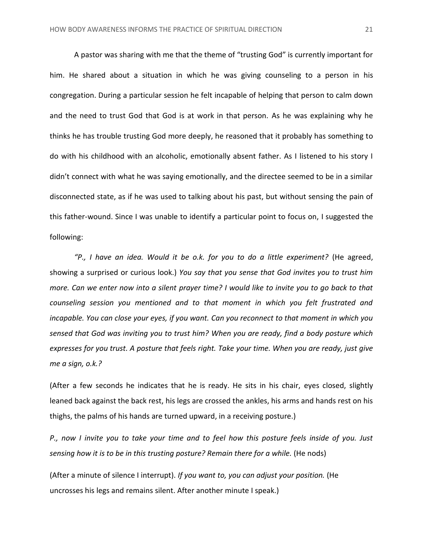A pastor was sharing with me that the theme of "trusting God" is currently important for him. He shared about a situation in which he was giving counseling to a person in his congregation. During a particular session he felt incapable of helping that person to calm down and the need to trust God that God is at work in that person. As he was explaining why he thinks he has trouble trusting God more deeply, he reasoned that it probably has something to do with his childhood with an alcoholic, emotionally absent father. As I listened to his story I didn't connect with what he was saying emotionally, and the directee seemed to be in a similar disconnected state, as if he was used to talking about his past, but without sensing the pain of this father-wound. Since I was unable to identify a particular point to focus on, I suggested the following:

*"P., I have an idea. Would it be o.k. for you to do a little experiment?* (He agreed, showing a surprised or curious look.) *You say that you sense that God invites you to trust him more. Can we enter now into a silent prayer time? I would like to invite you to go back to that counseling session you mentioned and to that moment in which you felt frustrated and incapable. You can close your eyes, if you want. Can you reconnect to that moment in which you sensed that God was inviting you to trust him? When you are ready, find a body posture which expresses for you trust. A posture that feels right. Take your time. When you are ready, just give me a sign, o.k.?*

(After a few seconds he indicates that he is ready. He sits in his chair, eyes closed, slightly leaned back against the back rest, his legs are crossed the ankles, his arms and hands rest on his thighs, the palms of his hands are turned upward, in a receiving posture.)

*P., now I invite you to take your time and to feel how this posture feels inside of you. Just sensing how it is to be in this trusting posture? Remain there for a while.* (He nods)

(After a minute of silence I interrupt). *If you want to, you can adjust your position.* (He uncrosses his legs and remains silent. After another minute I speak.)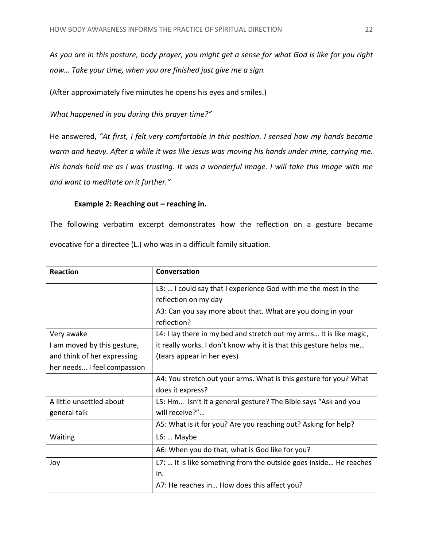*As you are in this posture, body prayer, you might get a sense for what God is like for you right now… Take your time, when you are finished just give me a sign.*

(After approximately five minutes he opens his eyes and smiles.)

*What happened in you during this prayer time?"*

He answered, *"At first, I felt very comfortable in this position. I sensed how my hands became warm and heavy. After a while it was like Jesus was moving his hands under mine, carrying me. His hands held me as I was trusting. It was a wonderful image. I will take this image with me and want to meditate on it further."*

### **Example 2: Reaching out – reaching in.**

<span id="page-22-0"></span>The following verbatim excerpt demonstrates how the reflection on a gesture became evocative for a directee (L.) who was in a difficult family situation.

| <b>Reaction</b>             | Conversation                                                        |
|-----------------------------|---------------------------------------------------------------------|
|                             | L3:  I could say that I experience God with me the most in the      |
|                             | reflection on my day                                                |
|                             | A3: Can you say more about that. What are you doing in your         |
|                             | reflection?                                                         |
| Very awake                  | L4: I lay there in my bed and stretch out my arms It is like magic, |
| I am moved by this gesture, | it really works. I don't know why it is that this gesture helps me  |
| and think of her expressing | (tears appear in her eyes)                                          |
| her needs I feel compassion |                                                                     |
|                             | A4: You stretch out your arms. What is this gesture for you? What   |
|                             | does it express?                                                    |
| A little unsettled about    | L5: Hm Isn't it a general gesture? The Bible says "Ask and you      |
| general talk                | will receive?"                                                      |
|                             | A5: What is it for you? Are you reaching out? Asking for help?      |
| Waiting                     | $L6: $ Maybe                                                        |
|                             | A6: When you do that, what is God like for you?                     |
| Joy                         | L7:  It is like something from the outside goes inside He reaches   |
|                             | in.                                                                 |
|                             | A7: He reaches in How does this affect you?                         |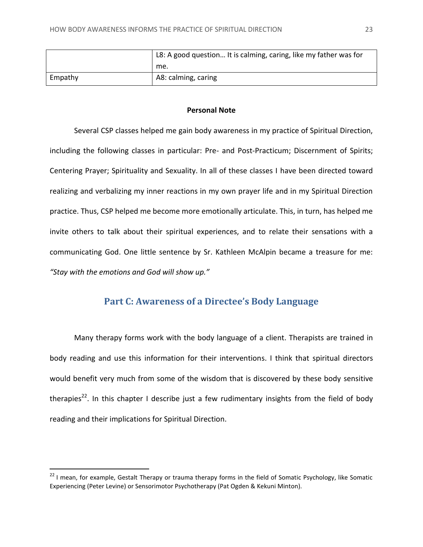|         | L8: A good question It is calming, caring, like my father was for |
|---------|-------------------------------------------------------------------|
|         | me.                                                               |
| Empathy | A8: calming, caring                                               |

#### **Personal Note**

<span id="page-23-0"></span>Several CSP classes helped me gain body awareness in my practice of Spiritual Direction, including the following classes in particular: Pre- and Post-Practicum; Discernment of Spirits; Centering Prayer; Spirituality and Sexuality. In all of these classes I have been directed toward realizing and verbalizing my inner reactions in my own prayer life and in my Spiritual Direction practice. Thus, CSP helped me become more emotionally articulate. This, in turn, has helped me invite others to talk about their spiritual experiences, and to relate their sensations with a communicating God. One little sentence by Sr. Kathleen McAlpin became a treasure for me: *"Stay with the emotions and God will show up."*

# **Part C: Awareness of a Directee's Body Language**

<span id="page-23-1"></span>Many therapy forms work with the body language of a client. Therapists are trained in body reading and use this information for their interventions. I think that spiritual directors would benefit very much from some of the wisdom that is discovered by these body sensitive therapies<sup>22</sup>. In this chapter I describe just a few rudimentary insights from the field of body reading and their implications for Spiritual Direction.

l

<sup>&</sup>lt;sup>22</sup> I mean, for example, Gestalt Therapy or trauma therapy forms in the field of Somatic Psychology, like Somatic Experiencing (Peter Levine) or Sensorimotor Psychotherapy (Pat Ogden & Kekuni Minton).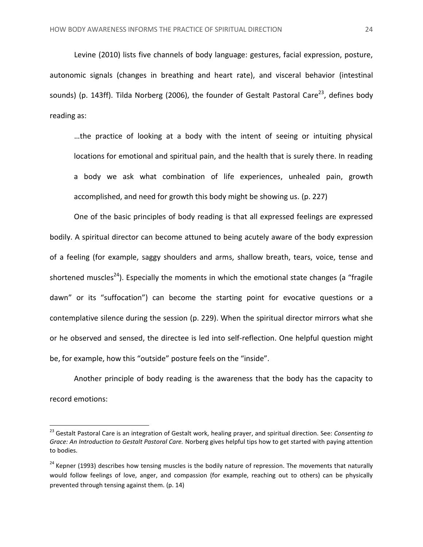Levine (2010) lists five channels of body language: gestures, facial expression, posture, autonomic signals (changes in breathing and heart rate), and visceral behavior (intestinal sounds) (p. 143ff). Tilda Norberg (2006), the founder of Gestalt Pastoral Care<sup>23</sup>, defines body reading as:

…the practice of looking at a body with the intent of seeing or intuiting physical locations for emotional and spiritual pain, and the health that is surely there. In reading a body we ask what combination of life experiences, unhealed pain, growth accomplished, and need for growth this body might be showing us. (p. 227)

One of the basic principles of body reading is that all expressed feelings are expressed bodily. A spiritual director can become attuned to being acutely aware of the body expression of a feeling (for example, saggy shoulders and arms, shallow breath, tears, voice, tense and shortened muscles<sup>24</sup>). Especially the moments in which the emotional state changes (a "fragile dawn" or its "suffocation") can become the starting point for evocative questions or a contemplative silence during the session (p. 229). When the spiritual director mirrors what she or he observed and sensed, the directee is led into self-reflection. One helpful question might be, for example, how this "outside" posture feels on the "inside".

Another principle of body reading is the awareness that the body has the capacity to record emotions:

<sup>23</sup> Gestalt Pastoral Care is an integration of Gestalt work, healing prayer, and spiritual direction. See: *Consenting to Grace: An Introduction to Gestalt Pastoral Care.* Norberg gives helpful tips how to get started with paying attention to bodies.

<sup>&</sup>lt;sup>24</sup> Kepner (1993) describes how tensing muscles is the bodily nature of repression. The movements that naturally would follow feelings of love, anger, and compassion (for example, reaching out to others) can be physically prevented through tensing against them. (p. 14)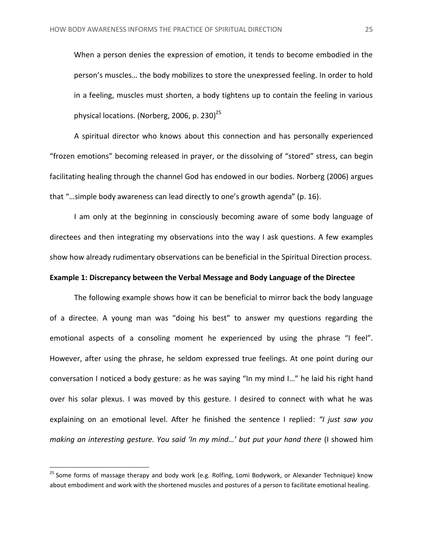When a person denies the expression of emotion, it tends to become embodied in the person's muscles… the body mobilizes to store the unexpressed feeling. In order to hold in a feeling, muscles must shorten, a body tightens up to contain the feeling in various physical locations. (Norberg, 2006, p. 230) $^{25}$ 

A spiritual director who knows about this connection and has personally experienced "frozen emotions" becoming released in prayer, or the dissolving of "stored" stress, can begin facilitating healing through the channel God has endowed in our bodies. Norberg (2006) argues that "…simple body awareness can lead directly to one's growth agenda" (p. 16).

I am only at the beginning in consciously becoming aware of some body language of directees and then integrating my observations into the way I ask questions. A few examples show how already rudimentary observations can be beneficial in the Spiritual Direction process.

#### <span id="page-25-0"></span>**Example 1: Discrepancy between the Verbal Message and Body Language of the Directee**

The following example shows how it can be beneficial to mirror back the body language of a directee. A young man was "doing his best" to answer my questions regarding the emotional aspects of a consoling moment he experienced by using the phrase "I feel". However, after using the phrase, he seldom expressed true feelings. At one point during our conversation I noticed a body gesture: as he was saying "In my mind I…" he laid his right hand over his solar plexus. I was moved by this gesture. I desired to connect with what he was explaining on an emotional level. After he finished the sentence I replied: *"I just saw you making an interesting gesture. You said 'In my mind...' but put your hand there* (I showed him

<sup>&</sup>lt;sup>25</sup> Some forms of massage therapy and body work (e.g. Rolfing, Lomi Bodywork, or Alexander Technique) know about embodiment and work with the shortened muscles and postures of a person to facilitate emotional healing.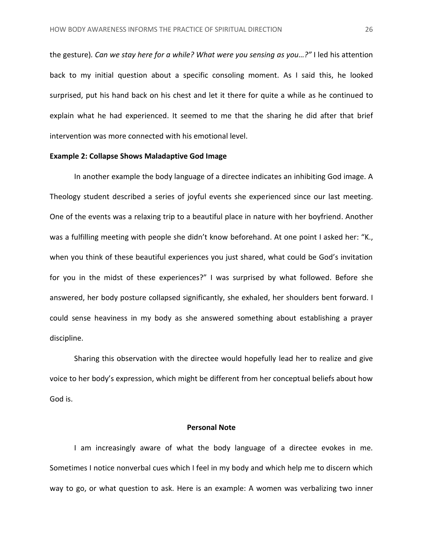the gesture)*. Can we stay here for a while? What were you sensing as you…?"* I led his attention back to my initial question about a specific consoling moment. As I said this, he looked surprised, put his hand back on his chest and let it there for quite a while as he continued to explain what he had experienced. It seemed to me that the sharing he did after that brief intervention was more connected with his emotional level.

#### <span id="page-26-0"></span>**Example 2: Collapse Shows Maladaptive God Image**

In another example the body language of a directee indicates an inhibiting God image. A Theology student described a series of joyful events she experienced since our last meeting. One of the events was a relaxing trip to a beautiful place in nature with her boyfriend. Another was a fulfilling meeting with people she didn't know beforehand. At one point I asked her: "K., when you think of these beautiful experiences you just shared, what could be God's invitation for you in the midst of these experiences?" I was surprised by what followed. Before she answered, her body posture collapsed significantly, she exhaled, her shoulders bent forward. I could sense heaviness in my body as she answered something about establishing a prayer discipline.

Sharing this observation with the directee would hopefully lead her to realize and give voice to her body's expression, which might be different from her conceptual beliefs about how God is.

#### **Personal Note**

<span id="page-26-1"></span>I am increasingly aware of what the body language of a directee evokes in me. Sometimes I notice nonverbal cues which I feel in my body and which help me to discern which way to go, or what question to ask. Here is an example: A women was verbalizing two inner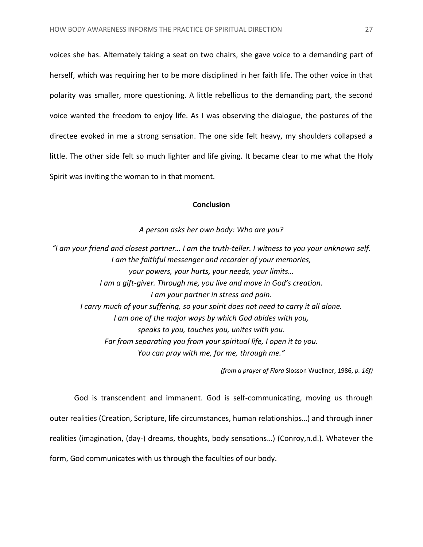voices she has. Alternately taking a seat on two chairs, she gave voice to a demanding part of herself, which was requiring her to be more disciplined in her faith life. The other voice in that polarity was smaller, more questioning. A little rebellious to the demanding part, the second voice wanted the freedom to enjoy life. As I was observing the dialogue, the postures of the directee evoked in me a strong sensation. The one side felt heavy, my shoulders collapsed a little. The other side felt so much lighter and life giving. It became clear to me what the Holy Spirit was inviting the woman to in that moment.

#### **Conclusion**

*A person asks her own body: Who are you?*

<span id="page-27-0"></span>*"I am your friend and closest partner… I am the truth-teller. I witness to you your unknown self. I am the faithful messenger and recorder of your memories, your powers, your hurts, your needs, your limits… I am a gift-giver. Through me, you live and move in God's creation. I am your partner in stress and pain. I carry much of your suffering, so your spirit does not need to carry it all alone. I am one of the major ways by which God abides with you, speaks to you, touches you, unites with you. Far from separating you from your spiritual life, I open it to you. You can pray with me, for me, through me."*

*(from a prayer of Flora* Slosson Wuellner, 1986, *p. 16f)*

God is transcendent and immanent. God is self-communicating, moving us through outer realities (Creation, Scripture, life circumstances, human relationships…) and through inner realities (imagination, (day-) dreams, thoughts, body sensations…) (Conroy,n.d.). Whatever the form, God communicates with us through the faculties of our body.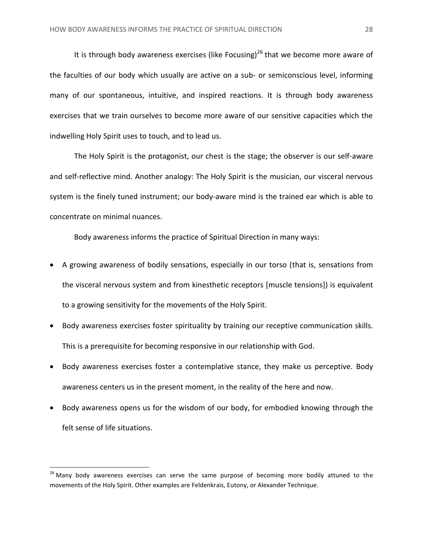It is through body awareness exercises (like Focusing)<sup>26</sup> that we become more aware of the faculties of our body which usually are active on a sub- or semiconscious level, informing many of our spontaneous, intuitive, and inspired reactions. It is through body awareness exercises that we train ourselves to become more aware of our sensitive capacities which the indwelling Holy Spirit uses to touch, and to lead us.

The Holy Spirit is the protagonist, our chest is the stage; the observer is our self-aware and self-reflective mind. Another analogy: The Holy Spirit is the musician, our visceral nervous system is the finely tuned instrument; our body-aware mind is the trained ear which is able to concentrate on minimal nuances.

Body awareness informs the practice of Spiritual Direction in many ways:

- A growing awareness of bodily sensations, especially in our torso (that is, sensations from the visceral nervous system and from kinesthetic receptors [muscle tensions]) is equivalent to a growing sensitivity for the movements of the Holy Spirit.
- Body awareness exercises foster spirituality by training our receptive communication skills. This is a prerequisite for becoming responsive in our relationship with God.
- Body awareness exercises foster a contemplative stance, they make us perceptive. Body awareness centers us in the present moment, in the reality of the here and now.
- Body awareness opens us for the wisdom of our body, for embodied knowing through the felt sense of life situations.

<sup>&</sup>lt;sup>26</sup> Many body awareness exercises can serve the same purpose of becoming more bodily attuned to the movements of the Holy Spirit. Other examples are Feldenkrais, Eutony, or Alexander Technique.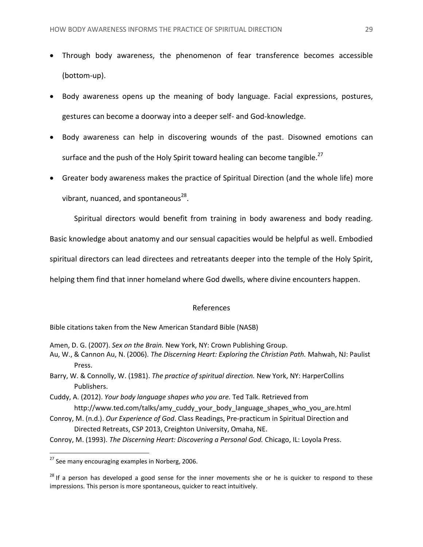- Through body awareness, the phenomenon of fear transference becomes accessible (bottom-up).
- Body awareness opens up the meaning of body language. Facial expressions, postures, gestures can become a doorway into a deeper self- and God-knowledge.
- Body awareness can help in discovering wounds of the past. Disowned emotions can surface and the push of the Holy Spirit toward healing can become tangible.<sup>27</sup>
- Greater body awareness makes the practice of Spiritual Direction (and the whole life) more vibrant, nuanced, and spontaneous $^{28}$ .

Spiritual directors would benefit from training in body awareness and body reading.

Basic knowledge about anatomy and our sensual capacities would be helpful as well. Embodied

spiritual directors can lead directees and retreatants deeper into the temple of the Holy Spirit,

<span id="page-29-0"></span>helping them find that inner homeland where God dwells, where divine encounters happen.

#### References

Bible citations taken from the New American Standard Bible (NASB)

Amen, D. G. (2007). *Sex on the Brain.* New York, NY: Crown Publishing Group.

- Au, W., & Cannon Au, N. (2006). *The Discerning Heart: Exploring the Christian Path.* Mahwah, NJ: Paulist Press.
- Barry, W. & Connolly, W. (1981). *The practice of spiritual direction.* New York, NY: HarperCollins Publishers.
- Cuddy, A. (2012). *Your body language shapes who you are.* Ted Talk. Retrieved from http://www.ted.com/talks/amy\_cuddy\_your\_body\_language\_shapes\_who\_you\_are.html
- Conroy, M. (n.d.). *Our Experience of God*. Class Readings, Pre-practicum in Spiritual Direction and Directed Retreats, CSP 2013, Creighton University, Omaha, NE.
- Conroy, M. (1993). *The Discerning Heart: Discovering a Personal God.* Chicago, IL: Loyola Press.

<sup>&</sup>lt;sup>27</sup> See many encouraging examples in Norberg, 2006.

 $^{28}$  If a person has developed a good sense for the inner movements she or he is quicker to respond to these impressions. This person is more spontaneous, quicker to react intuitively.